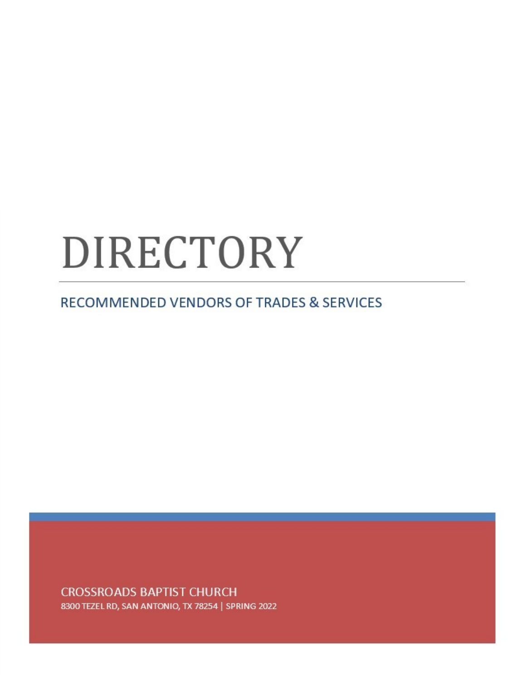# DIRECTORY

RECOMMENDED VENDORS OF TRADES & SERVICES

**CROSSROADS BAPTIST CHURCH** 8300 TEZEL RD, SAN ANTONIO, TX 78254 | SPRING 2022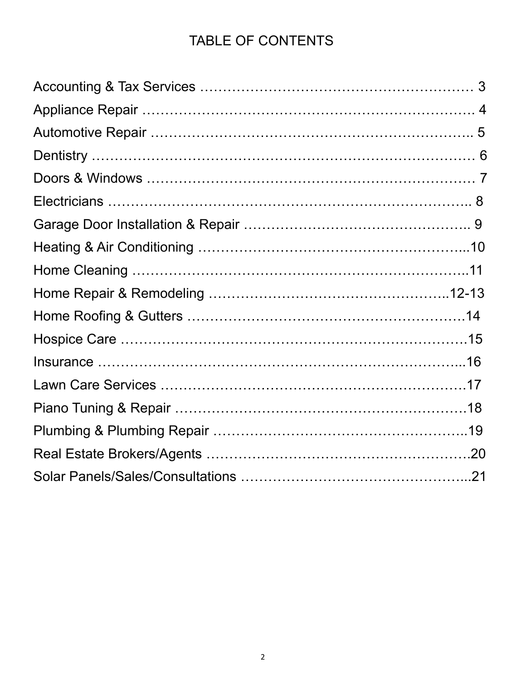#### TABLE OF CONTENTS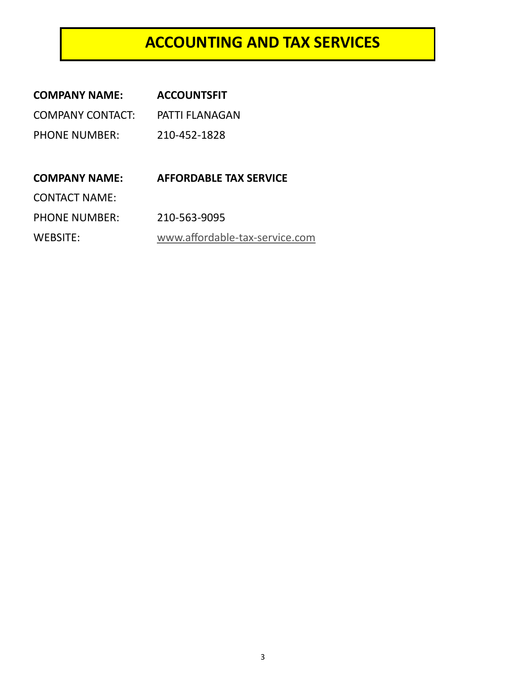#### **ACCOUNTING AND TAX SERVICES**

| <b>COMPANY NAME:</b>    | <b>ACCOUNTSFIT</b>             |
|-------------------------|--------------------------------|
| <b>COMPANY CONTACT:</b> | <b>PATTI FLANAGAN</b>          |
| <b>PHONE NUMBER:</b>    | 210-452-1828                   |
|                         |                                |
| <b>COMPANY NAME:</b>    | <b>AFFORDABLE TAX SERVICE</b>  |
| <b>CONTACT NAME:</b>    |                                |
| <b>PHONE NUMBER:</b>    | 210-563-9095                   |
| WEBSITE:                | www.affordable-tax-service.com |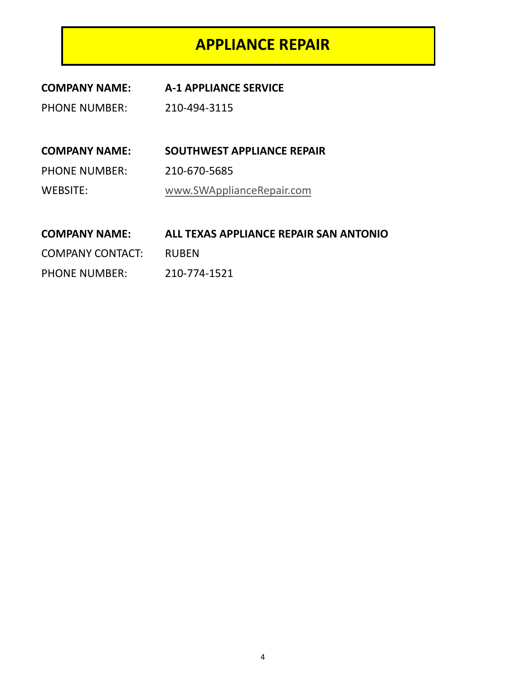#### **APPLIANCE REPAIR**

| <b>COMPANY NAME:</b> | <b>A-1 APPLIANCE SERVICE</b> |
|----------------------|------------------------------|
|                      |                              |

PHONE NUMBER: 210-494-3115

**COMPANY NAME: SOUTHWEST APPLIANCE REPAIR** PHONE NUMBER: 210-670-5685 WEBSITE: [www.SWApplianceRepair.com](http://www.SWApplianceRepair.com)

#### **COMPANY NAME: ALL TEXAS APPLIANCE REPAIR SAN ANTONIO**

COMPANY CONTACT: RUBEN

PHONE NUMBER: 210-774-1521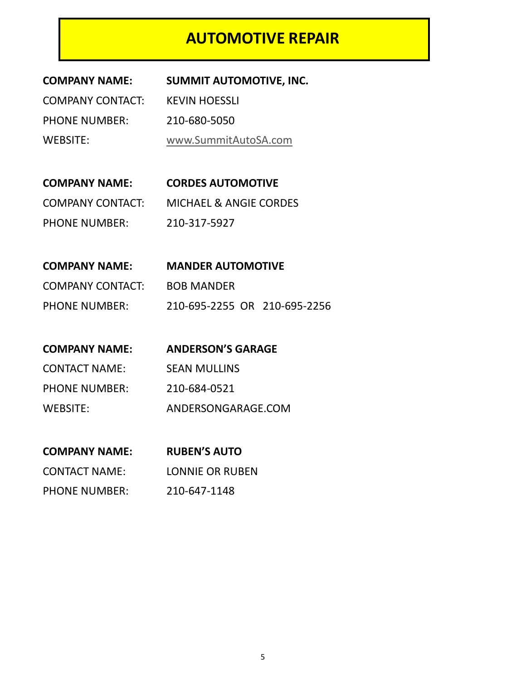#### **AUTOMOTIVE REPAIR**

| <b>COMPANY NAME:</b>    | <b>SUMMIT AUTOMOTIVE, INC.</b> |
|-------------------------|--------------------------------|
| <b>COMPANY CONTACT:</b> | <b>KEVIN HOESSLI</b>           |
| <b>PHONE NUMBER:</b>    | 210-680-5050                   |
| WEBSITE:                | www.SummitAutoSA.com           |
|                         |                                |

**COMPANY NAME: CORDES AUTOMOTIVE** COMPANY CONTACT: MICHAEL & ANGIE CORDES PHONE NUMBER: 210-317-5927

| <b>COMPANY NAME:</b> | <b>MANDER AUTOMOTIVE</b>     |
|----------------------|------------------------------|
| COMPANY CONTACT:     | <b>BOB MANDER</b>            |
| <b>PHONE NUMBER:</b> | 210-695-2255 OR 210-695-2256 |

| <b>COMPANY NAME:</b> | <b>ANDERSON'S GARAGE</b> |
|----------------------|--------------------------|
| <b>CONTACT NAME:</b> | <b>SEAN MULLINS</b>      |
| <b>PHONE NUMBER:</b> | 210-684-0521             |
| WEBSITE:             | ANDERSONGARAGE.COM       |

| <b>COMPANY NAME:</b> | <b>RUBEN'S AUTO</b> |
|----------------------|---------------------|
| <b>CONTACT NAME:</b> | LONNIE OR RUBEN     |
| <b>PHONE NUMBER:</b> | 210-647-1148        |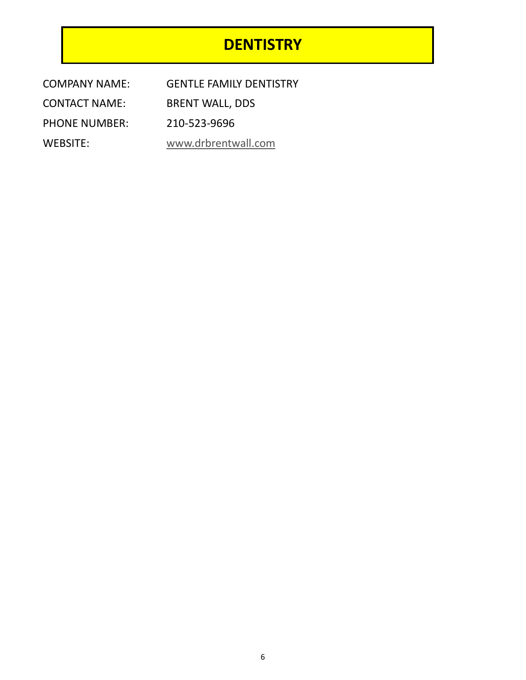#### **DENTISTRY**

| COMPANY NAME:        | <b>GENTLE FAMILY DENTISTRY</b> |
|----------------------|--------------------------------|
| <b>CONTACT NAME:</b> | <b>BRENT WALL, DDS</b>         |
| <b>PHONE NUMBER:</b> | 210-523-9696                   |
| WEBSITE:             | www.drbrentwall.com            |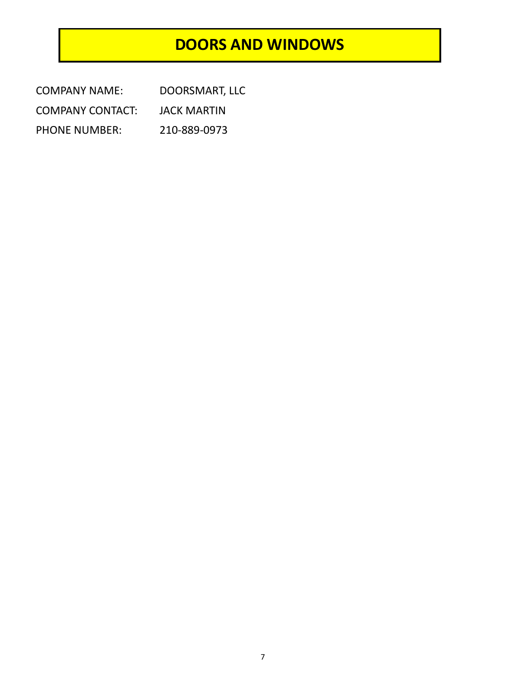#### **DOORS AND WINDOWS**

| <b>COMPANY NAME:</b>    | DOORSMART, LLC |
|-------------------------|----------------|
| <b>COMPANY CONTACT:</b> | JACK MARTIN    |
| <b>PHONE NUMBER:</b>    | 210-889-0973   |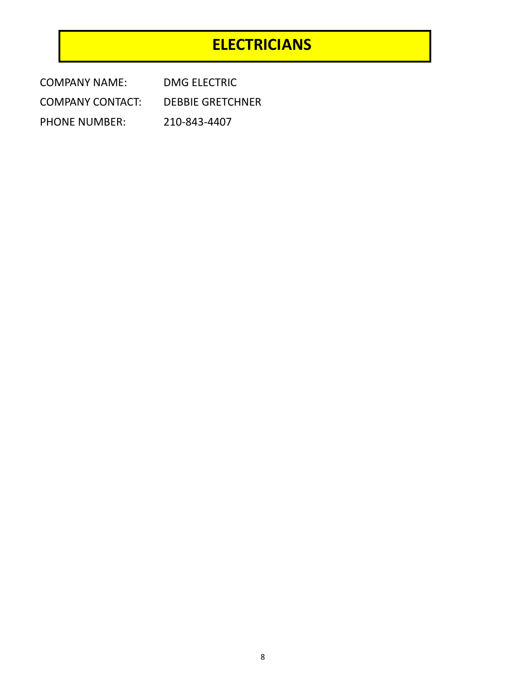#### **ELECTRICIANS**

| <b>COMPANY NAME:</b>    | DMG ELECTRIC            |
|-------------------------|-------------------------|
| <b>COMPANY CONTACT:</b> | <b>DEBBIE GRETCHNER</b> |
| <b>PHONE NUMBER:</b>    | 210-843-4407            |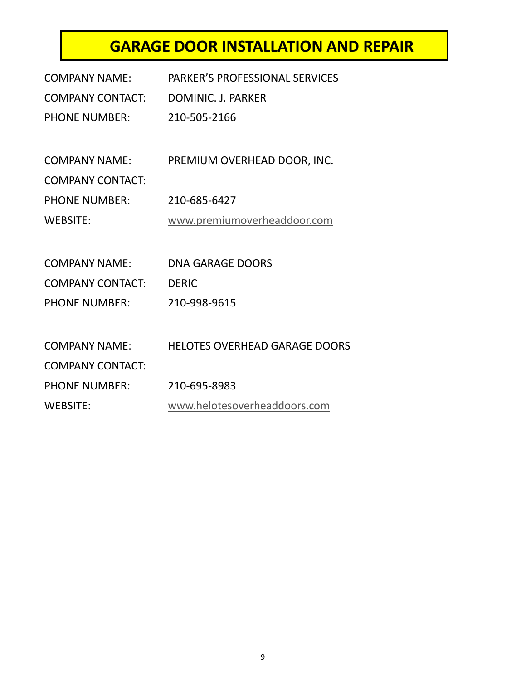### **GARAGE DOOR INSTALLATION AND REPAIR**

| <b>PARKER'S PROFESSIONAL SERVICES</b> |
|---------------------------------------|
| DOMINIC. J. PARKER                    |
| 210-505-2166                          |
|                                       |
| PREMIUM OVERHEAD DOOR, INC.           |
|                                       |
| 210-685-6427                          |
| www.premiumoverheaddoor.com           |
|                                       |
| <b>DNA GARAGE DOORS</b>               |
| <b>DERIC</b>                          |
| 210-998-9615                          |
|                                       |
| <b>HELOTES OVERHEAD GARAGE DOORS</b>  |
|                                       |
|                                       |
| 210-695-8983                          |
|                                       |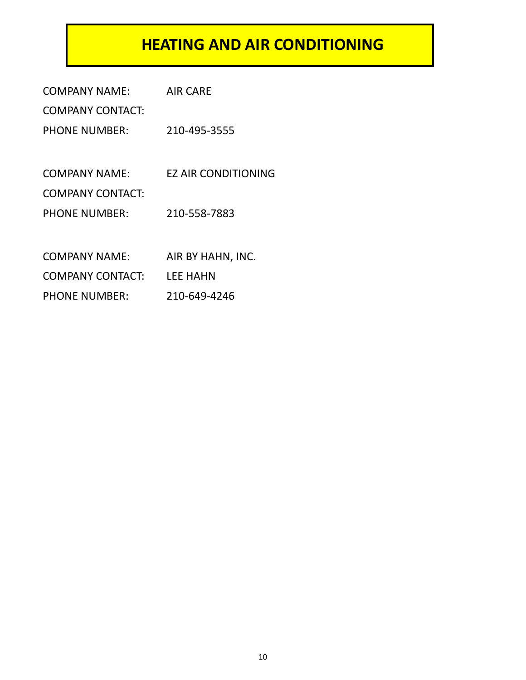#### **HEATING AND AIR CONDITIONING**

| <b>COMPANY NAME:</b>    | AIR CARE                   |
|-------------------------|----------------------------|
| <b>COMPANY CONTACT:</b> |                            |
| <b>PHONE NUMBER:</b>    | 210-495-3555               |
|                         |                            |
| COMPANY NAME:           | <b>EZ AIR CONDITIONING</b> |
| <b>COMPANY CONTACT:</b> |                            |
| <b>PHONE NUMBER:</b>    | 210-558-7883               |
|                         |                            |
| <b>COMPANY NAME:</b>    | AIR BY HAHN, INC.          |
| <b>COMPANY CONTACT:</b> | LEE HAHN                   |
| <b>PHONE NUMBER:</b>    | 210-649-4246               |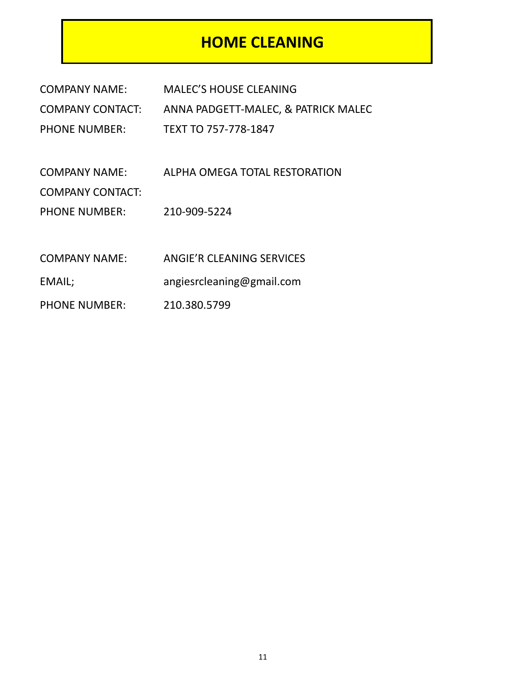#### **HOME CLEANING**

| <b>COMPANY NAME:</b>    | <b>MALEC'S HOUSE CLEANING</b>       |
|-------------------------|-------------------------------------|
| <b>COMPANY CONTACT:</b> | ANNA PADGETT-MALEC, & PATRICK MALEC |
| <b>PHONE NUMBER:</b>    | TEXT TO 757-778-1847                |
|                         |                                     |
| <b>COMPANY NAME:</b>    | ALPHA OMEGA TOTAL RESTORATION       |
| <b>COMPANY CONTACT:</b> |                                     |
| <b>PHONE NUMBER:</b>    | 210-909-5224                        |
|                         |                                     |
| <b>COMPANY NAME:</b>    | ANGIE'R CLEANING SERVICES           |
| EMAIL;                  | angiesrcleaning@gmail.com           |
| <b>PHONE NUMBER:</b>    | 210.380.5799                        |
|                         |                                     |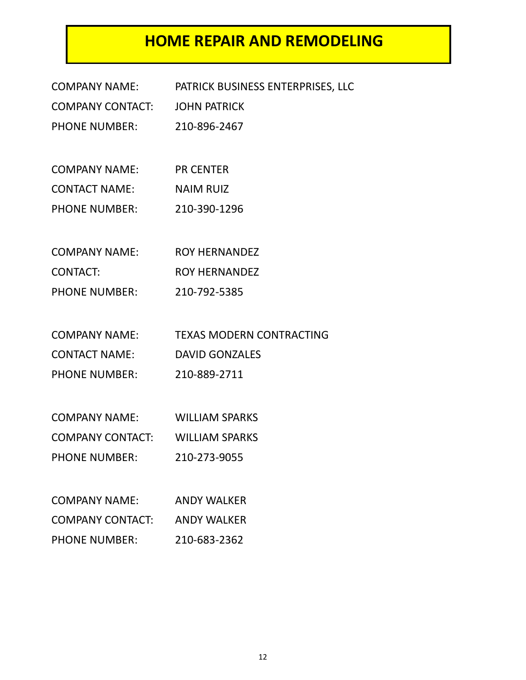#### **HOME REPAIR AND REMODELING**

| <b>COMPANY NAME:</b>    | PATRICK BUSINESS ENTERPRISES, LLC |
|-------------------------|-----------------------------------|
| <b>COMPANY CONTACT:</b> | <b>JOHN PATRICK</b>               |
| <b>PHONE NUMBER:</b>    | 210-896-2467                      |
|                         |                                   |
| <b>COMPANY NAME:</b>    | <b>PR CENTER</b>                  |
| <b>CONTACT NAME:</b>    | <b>NAIM RUIZ</b>                  |
| <b>PHONE NUMBER:</b>    | 210-390-1296                      |
|                         |                                   |
| <b>COMPANY NAME:</b>    | <b>ROY HERNANDEZ</b>              |
| <b>CONTACT:</b>         | <b>ROY HERNANDEZ</b>              |
| <b>PHONE NUMBER:</b>    | 210-792-5385                      |
|                         |                                   |
| <b>COMPANY NAME:</b>    | <b>TEXAS MODERN CONTRACTING</b>   |
| <b>CONTACT NAME:</b>    | <b>DAVID GONZALES</b>             |
| <b>PHONE NUMBER:</b>    | 210-889-2711                      |
|                         |                                   |
| <b>COMPANY NAME:</b>    | <b>WILLIAM SPARKS</b>             |
| <b>COMPANY CONTACT:</b> | <b>WILLIAM SPARKS</b>             |
| <b>PHONE NUMBER:</b>    | 210-273-9055                      |
|                         |                                   |
| <b>COMPANY NAME:</b>    | <b>ANDY WALKER</b>                |
| <b>COMPANY CONTACT:</b> | <b>ANDY WALKER</b>                |
| <b>PHONE NUMBER:</b>    | 210-683-2362                      |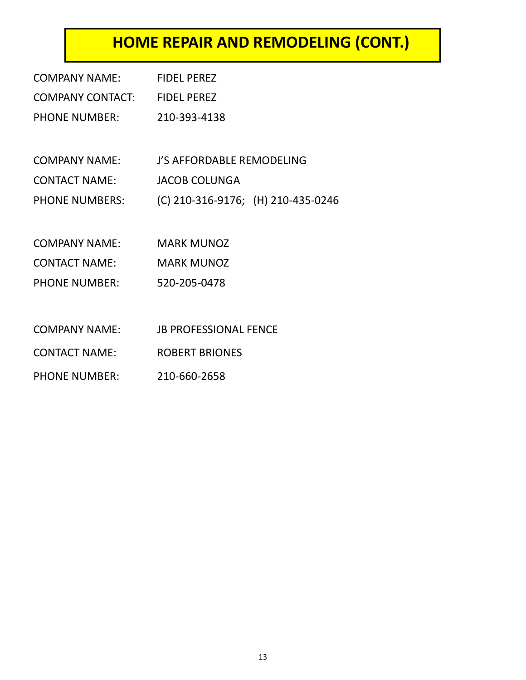## **HOME REPAIR AND REMODELING (CONT.)**

| COMPANY NAME:                | <b>FIDEL PEREZ</b>                 |
|------------------------------|------------------------------------|
| COMPANY CONTACT: FIDEL PEREZ |                                    |
| <b>PHONE NUMBER:</b>         | 210-393-4138                       |
|                              |                                    |
| COMPANY NAME:                | J'S AFFORDABLE REMODELING          |
| <b>CONTACT NAME:</b>         | <b>JACOB COLUNGA</b>               |
| <b>PHONE NUMBERS:</b>        | (C) 210-316-9176; (H) 210-435-0246 |
|                              |                                    |
| COMPANY NAME:                | <b>MARK MUNOZ</b>                  |
| <b>CONTACT NAME:</b>         | <b>MARK MUNOZ</b>                  |
| <b>PHONE NUMBER:</b>         | 520-205-0478                       |
|                              |                                    |
| COMPANY NAME:                | <b>JB PROFESSIONAL FENCE</b>       |
| <b>CONTACT NAME:</b>         | <b>ROBERT BRIONES</b>              |
| <b>PHONE NUMBER:</b>         | 210-660-2658                       |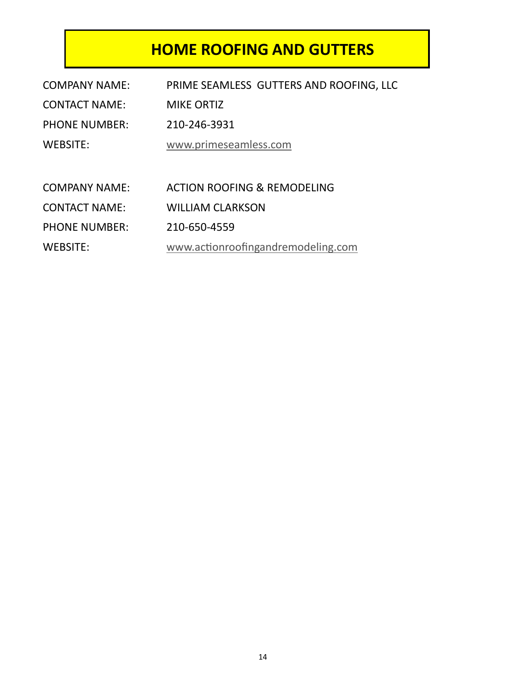#### **HOME ROOFING AND GUTTERS**

| <b>COMPANY NAME:</b> | PRIME SEAMLESS GUTTERS AND ROOFING, LLC |
|----------------------|-----------------------------------------|
| <b>CONTACT NAME:</b> | <b>MIKE ORTIZ</b>                       |
| <b>PHONE NUMBER:</b> | 210-246-3931                            |
| <b>WEBSITE:</b>      | www.primeseamless.com                   |
|                      |                                         |
| <b>COMPANY NAME:</b> | <b>ACTION ROOFING &amp; REMODELING</b>  |
| <b>CONTACT NAME:</b> | <b>WILLIAM CLARKSON</b>                 |
| <b>PHONE NUMBER:</b> | 210-650-4559                            |
| <b>WEBSITE:</b>      | www.actionroofingandremodeling.com      |
|                      |                                         |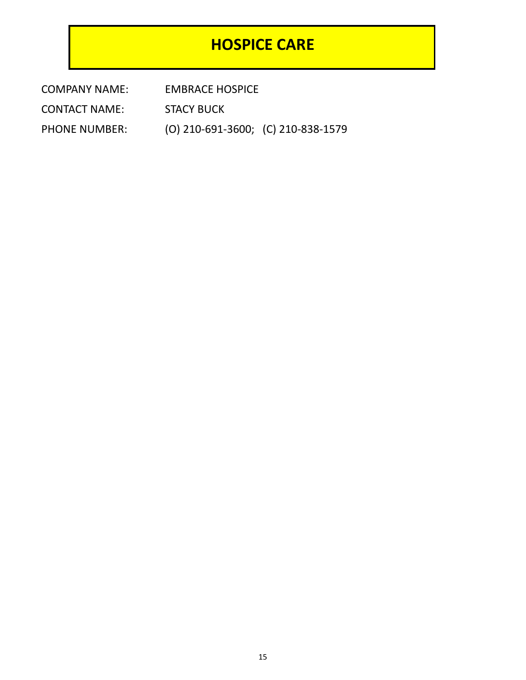#### **HOSPICE CARE**

COMPANY NAME: EMBRACE HOSPICE

CONTACT NAME: STACY BUCK

PHONE NUMBER: (O) 210-691-3600; (C) 210-838-1579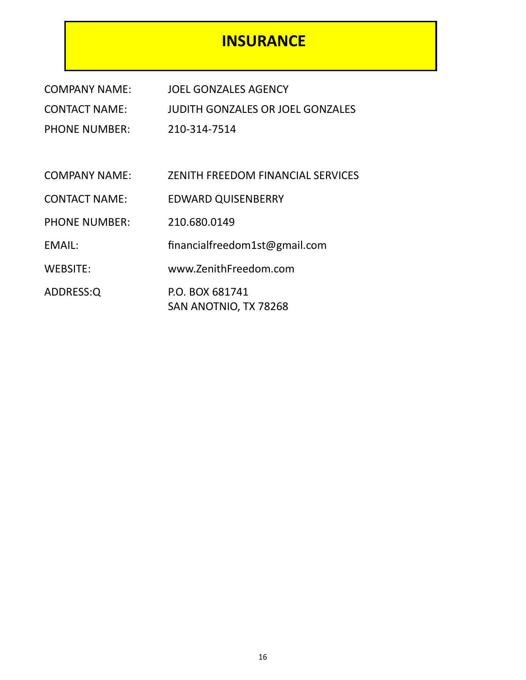#### **INSURANCE**

| <b>COMPANY NAME:</b> | <b>JOEL GONZALES AGENCY</b>              |
|----------------------|------------------------------------------|
| <b>CONTACT NAME:</b> | <b>JUDITH GONZALES OR JOEL GONZALES</b>  |
| <b>PHONE NUMBER:</b> | 210-314-7514                             |
|                      |                                          |
| <b>COMPANY NAME:</b> | <b>ZENITH FREEDOM FINANCIAL SERVICES</b> |
| <b>CONTACT NAME:</b> | <b>EDWARD QUISENBERRY</b>                |
| <b>PHONE NUMBER:</b> | 210.680.0149                             |
| EMAIL:               | financialfreedom1st@gmail.com            |
| <b>WEBSITE:</b>      | www.ZenithFreedom.com                    |
| ADDRESS:Q            | P.O. BOX 681741<br>SAN ANOTNIO, TX 78268 |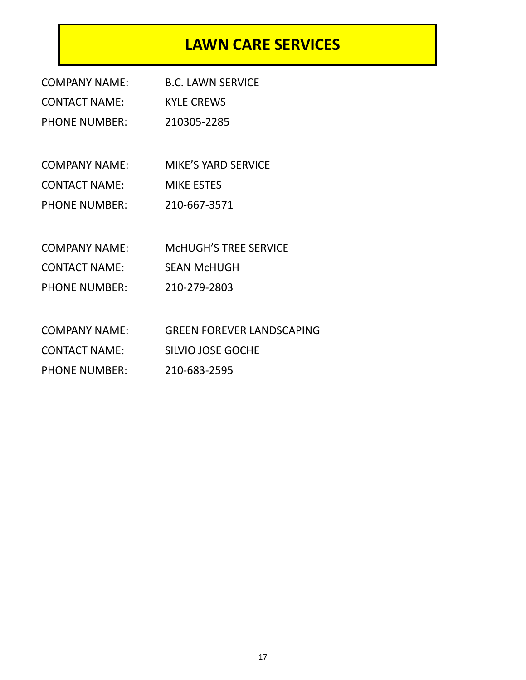#### **LAWN CARE SERVICES**

| <b>COMPANY NAME:</b> | <b>B.C. LAWN SERVICE</b>         |
|----------------------|----------------------------------|
| <b>CONTACT NAME:</b> | <b>KYLE CREWS</b>                |
| <b>PHONE NUMBER:</b> | 210305-2285                      |
|                      |                                  |
| <b>COMPANY NAME:</b> | <b>MIKE'S YARD SERVICE</b>       |
| <b>CONTACT NAME:</b> | <b>MIKE ESTES</b>                |
| <b>PHONE NUMBER:</b> | 210-667-3571                     |
|                      |                                  |
| <b>COMPANY NAME:</b> | <b>MCHUGH'S TREE SERVICE</b>     |
| <b>CONTACT NAME:</b> | <b>SEAN McHUGH</b>               |
| <b>PHONE NUMBER:</b> | 210-279-2803                     |
|                      |                                  |
| <b>COMPANY NAME:</b> | <b>GREEN FOREVER LANDSCAPING</b> |
| <b>CONTACT NAME:</b> | <b>SILVIO JOSE GOCHE</b>         |
| <b>PHONE NUMBER:</b> | 210-683-2595                     |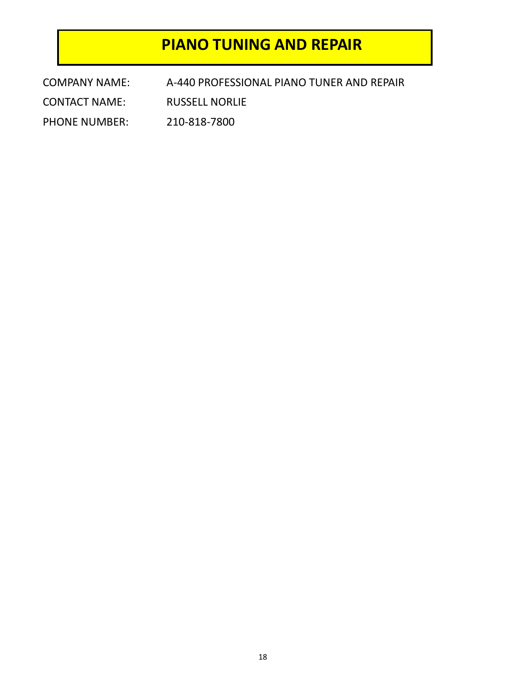#### **PIANO TUNING AND REPAIR**

| <b>COMPANY NAME:</b> | A-440 PROFESSIONAL PIANO TUNER AND REPAIR |
|----------------------|-------------------------------------------|
| <b>CONTACT NAME:</b> | <b>RUSSELL NORLIE</b>                     |
| <b>PHONE NUMBER:</b> | 210-818-7800                              |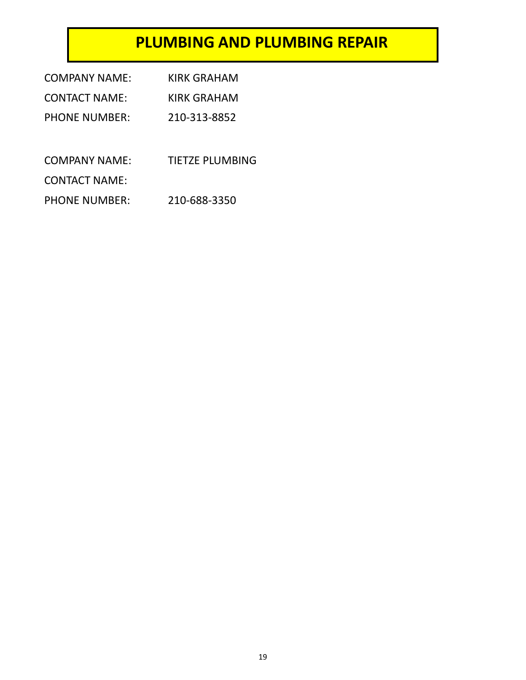#### **PLUMBING AND PLUMBING REPAIR**

| COMPANY NAME:        | KIRK GRAHAM     |
|----------------------|-----------------|
| <b>CONTACT NAME:</b> | KIRK GRAHAM     |
| <b>PHONE NUMBER:</b> | 210-313-8852    |
|                      |                 |
| COMPANY NAME:        | TIETZE PLUMBING |
| <b>CONTACT NAME:</b> |                 |
| <b>PHONE NUMBER:</b> | 210-688-3350    |
|                      |                 |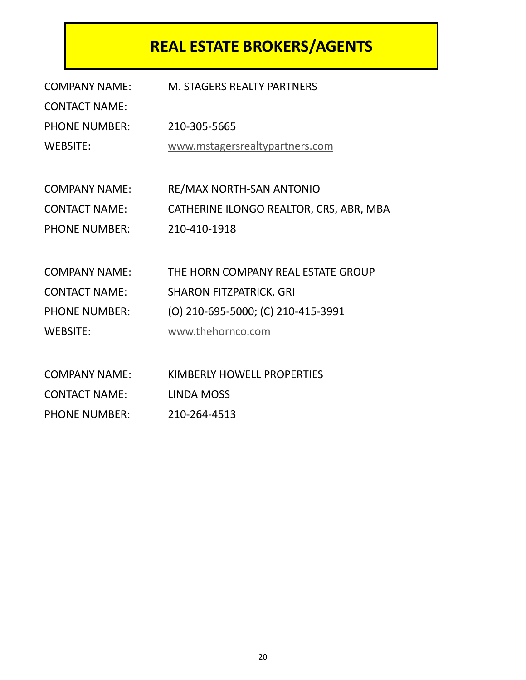## **REAL ESTATE BROKERS/AGENTS**

| <b>COMPANY NAME:</b> | <b>M. STAGERS REALTY PARTNERS</b>       |
|----------------------|-----------------------------------------|
| <b>CONTACT NAME:</b> |                                         |
| <b>PHONE NUMBER:</b> | 210-305-5665                            |
| <b>WEBSITE:</b>      | www.mstagersrealtypartners.com          |
|                      |                                         |
| <b>COMPANY NAME:</b> | RE/MAX NORTH-SAN ANTONIO                |
| <b>CONTACT NAME:</b> | CATHERINE ILONGO REALTOR, CRS, ABR, MBA |
| <b>PHONE NUMBER:</b> | 210-410-1918                            |
|                      |                                         |
| <b>COMPANY NAME:</b> | THE HORN COMPANY REAL ESTATE GROUP      |
| <b>CONTACT NAME:</b> | <b>SHARON FITZPATRICK, GRI</b>          |
| <b>PHONE NUMBER:</b> | (O) 210-695-5000; (C) 210-415-3991      |
| <b>WEBSITE:</b>      | www.thehornco.com                       |
|                      |                                         |
| <b>COMPANY NAME:</b> | KIMBERLY HOWELL PROPERTIES              |
|                      |                                         |

CONTACT NAME: LINDA MOSS

PHONE NUMBER: 210-264-4513